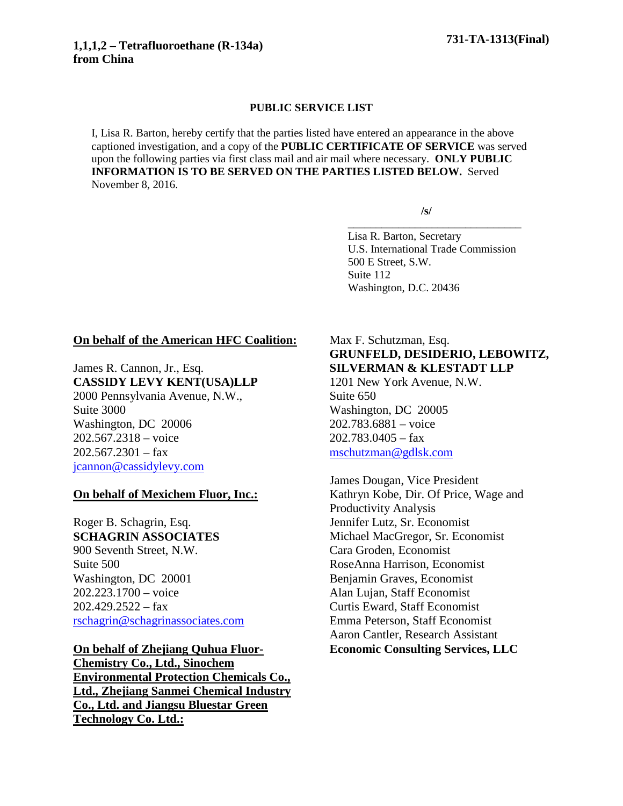#### **PUBLIC SERVICE LIST**

I, Lisa R. Barton, hereby certify that the parties listed have entered an appearance in the above captioned investigation, and a copy of the **PUBLIC CERTIFICATE OF SERVICE** was served upon the following parties via first class mail and air mail where necessary. **ONLY PUBLIC INFORMATION IS TO BE SERVED ON THE PARTIES LISTED BELOW.** Served November 8, 2016.

**/s/**

\_\_\_\_\_\_\_\_\_\_\_\_\_\_\_\_\_\_\_\_\_\_\_\_\_\_\_\_\_\_\_

Lisa R. Barton, Secretary U.S. International Trade Commission 500 E Street, S.W. Suite 112 Washington, D.C. 20436

### **On behalf of the American HFC Coalition:**

James R. Cannon, Jr., Esq. **CASSIDY LEVY KENT(USA)LLP** 2000 Pennsylvania Avenue, N.W., Suite 3000 Washington, DC 20006 202.567.2318 – voice  $202.567.2301 - fax$ [jcannon@cassidylevy.com](mailto:jcannon@cassidylevy.com)

### **On behalf of Mexichem Fluor, Inc.:**

Roger B. Schagrin, Esq. **SCHAGRIN ASSOCIATES** 900 Seventh Street, N.W. Suite 500 Washington, DC 20001 202.223.1700 – voice  $202.429.2522 - fax$ [rschagrin@schagrinassociates.com](mailto:rschagrin@schagrinassociates.com)

**On behalf of Zhejiang Quhua Fluor-Chemistry Co., Ltd., Sinochem Environmental Protection Chemicals Co., Ltd., Zhejiang Sanmei Chemical Industry Co., Ltd. and Jiangsu Bluestar Green Technology Co. Ltd.:**

### Max F. Schutzman, Esq. **GRUNFELD, DESIDERIO, LEBOWITZ, SILVERMAN & KLESTADT LLP**

1201 New York Avenue, N.W. Suite 650 Washington, DC 20005 202.783.6881 – voice  $202.783.0405 - fax$ [mschutzman@gdlsk.com](mailto:mschutzman@gdlsk.com)

James Dougan, Vice President Kathryn Kobe, Dir. Of Price, Wage and Productivity Analysis Jennifer Lutz, Sr. Economist Michael MacGregor, Sr. Economist Cara Groden, Economist RoseAnna Harrison, Economist Benjamin Graves, Economist Alan Lujan, Staff Economist Curtis Eward, Staff Economist Emma Peterson, Staff Economist Aaron Cantler, Research Assistant **Economic Consulting Services, LLC**